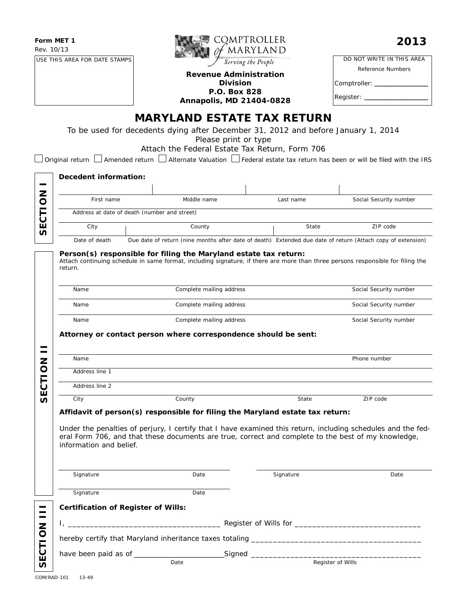**Form MET 1** Rev. 10/13

USE THIS AREA FOR DATE STAMPS



#### **Revenue Administration Division P.O. Box 828 Annapolis, MD 21404-0828**

| DO NOT WRITE IN THIS AREA |
|---------------------------|
| Reference Numbers         |
| Comptroller: _____        |
| Register: ___             |
|                           |

**MARYLAND ESTATE TAX RETURN**

To be used for decedents dying after December 31, 2012 and before January 1, 2014

*Please print or type*

Attach the Federal Estate Tax Return, Form 706

 $\Box$  Original return  $\Box$  Amended return  $\Box$  Alternate Valuation  $\Box$  Federal estate tax return has been or will be filed with the IRS

|                | Decedent information:                        |                                                                                                                                                                                                                     |  |           |                        |  |  |  |  |  |
|----------------|----------------------------------------------|---------------------------------------------------------------------------------------------------------------------------------------------------------------------------------------------------------------------|--|-----------|------------------------|--|--|--|--|--|
|                |                                              |                                                                                                                                                                                                                     |  |           |                        |  |  |  |  |  |
|                | First name                                   | Middle name                                                                                                                                                                                                         |  | Last name | Social Security number |  |  |  |  |  |
|                | Address at date of death (number and street) |                                                                                                                                                                                                                     |  |           |                        |  |  |  |  |  |
| <b>SECTION</b> | City                                         | County                                                                                                                                                                                                              |  | State     | ZIP code               |  |  |  |  |  |
|                | Date of death                                | Due date of return (nine months after date of death) Extended due date of return (Attach copy of extension)                                                                                                         |  |           |                        |  |  |  |  |  |
|                | return.                                      | Person(s) responsible for filing the Maryland estate tax return:<br>Attach continuing schedule in same format, including signature, if there are more than three persons responsible for filing the                 |  |           |                        |  |  |  |  |  |
|                | Name                                         | Complete mailing address                                                                                                                                                                                            |  |           | Social Security number |  |  |  |  |  |
|                | Name                                         | Complete mailing address                                                                                                                                                                                            |  |           | Social Security number |  |  |  |  |  |
|                | Name                                         | Complete mailing address                                                                                                                                                                                            |  |           | Social Security number |  |  |  |  |  |
|                |                                              | Attorney or contact person where correspondence should be sent:                                                                                                                                                     |  |           |                        |  |  |  |  |  |
|                | Name                                         |                                                                                                                                                                                                                     |  |           | Phone number           |  |  |  |  |  |
| SECTION        | Address line 1                               |                                                                                                                                                                                                                     |  |           |                        |  |  |  |  |  |
|                | Address line 2                               |                                                                                                                                                                                                                     |  |           |                        |  |  |  |  |  |
|                | City                                         | County                                                                                                                                                                                                              |  | State     | ZIP code               |  |  |  |  |  |
|                |                                              | Affidavit of person(s) responsible for filing the Maryland estate tax return:                                                                                                                                       |  |           |                        |  |  |  |  |  |
|                | information and belief.                      | Under the penalties of perjury, I certify that I have examined this return, including schedules and the fed-<br>eral Form 706, and that these documents are true, correct and complete to the best of my knowledge, |  |           |                        |  |  |  |  |  |
|                | Signature                                    | Date                                                                                                                                                                                                                |  | Signature | Date                   |  |  |  |  |  |
|                | Signature                                    | Date                                                                                                                                                                                                                |  |           |                        |  |  |  |  |  |
|                | <b>Certification of Register of Wills:</b>   |                                                                                                                                                                                                                     |  |           |                        |  |  |  |  |  |
|                |                                              |                                                                                                                                                                                                                     |  |           |                        |  |  |  |  |  |
|                |                                              |                                                                                                                                                                                                                     |  |           |                        |  |  |  |  |  |
|                |                                              |                                                                                                                                                                                                                     |  |           |                        |  |  |  |  |  |
| SECTION        |                                              |                                                                                                                                                                                                                     |  |           |                        |  |  |  |  |  |
|                |                                              | Date                                                                                                                                                                                                                |  |           | Register of Wills      |  |  |  |  |  |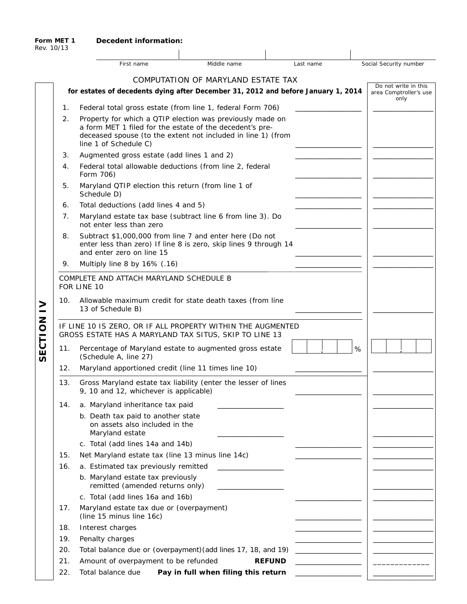|  | Decedent information: |
|--|-----------------------|
|  |                       |

|                |                                                                                                                       | First name                                                                                                                                                                                                     | Middle name                         | Last name                                    | Social Security number                                 |  |  |  |  |
|----------------|-----------------------------------------------------------------------------------------------------------------------|----------------------------------------------------------------------------------------------------------------------------------------------------------------------------------------------------------------|-------------------------------------|----------------------------------------------|--------------------------------------------------------|--|--|--|--|
|                |                                                                                                                       |                                                                                                                                                                                                                | COMPUTATION OF MARYLAND ESTATE TAX  |                                              |                                                        |  |  |  |  |
|                |                                                                                                                       | for estates of decedents dying after December 31, 2012 and before January 1, 2014                                                                                                                              |                                     |                                              | Do not write in this<br>area Comptroller's use<br>only |  |  |  |  |
|                | 1.                                                                                                                    |                                                                                                                                                                                                                |                                     |                                              |                                                        |  |  |  |  |
|                | 2.                                                                                                                    | Property for which a QTIP election was previously made on<br>a form MET 1 filed for the estate of the decedent's pre-<br>deceased spouse (to the extent not included in line 1) (from<br>line 1 of Schedule C) |                                     |                                              |                                                        |  |  |  |  |
|                | 3.                                                                                                                    | Augmented gross estate (add lines 1 and 2)                                                                                                                                                                     |                                     |                                              |                                                        |  |  |  |  |
|                | 4.                                                                                                                    | Federal total allowable deductions (from line 2, federal<br>Form 706)                                                                                                                                          |                                     |                                              |                                                        |  |  |  |  |
|                | 5.                                                                                                                    | Maryland QTIP election this return (from line 1 of<br>Schedule D)                                                                                                                                              |                                     |                                              |                                                        |  |  |  |  |
|                | 6.                                                                                                                    | Total deductions (add lines 4 and 5)                                                                                                                                                                           |                                     |                                              |                                                        |  |  |  |  |
|                | 7.                                                                                                                    | Maryland estate tax base (subtract line 6 from line 3). Do<br>not enter less than zero                                                                                                                         |                                     |                                              |                                                        |  |  |  |  |
|                | 8.                                                                                                                    | Subtract \$1,000,000 from line 7 and enter here (Do not<br>enter less than zero) If line 8 is zero, skip lines 9 through 14<br>and enter zero on line 15                                                       |                                     |                                              |                                                        |  |  |  |  |
|                | 9.                                                                                                                    | Multiply line 8 by $16\%$ (.16)                                                                                                                                                                                |                                     |                                              |                                                        |  |  |  |  |
|                | COMPLETE AND ATTACH MARYLAND SCHEDULE B<br>FOR LINE 10                                                                |                                                                                                                                                                                                                |                                     |                                              |                                                        |  |  |  |  |
| >              | 10.                                                                                                                   |                                                                                                                                                                                                                |                                     |                                              |                                                        |  |  |  |  |
| ECTION         | IF LINE 10 IS ZERO, OR IF ALL PROPERTY WITHIN THE AUGMENTED<br>GROSS ESTATE HAS A MARYLAND TAX SITUS, SKIP TO LINE 13 |                                                                                                                                                                                                                |                                     |                                              |                                                        |  |  |  |  |
| $\overline{v}$ | 11.                                                                                                                   | Percentage of Maryland estate to augmented gross estate<br>(Schedule A, line 27)                                                                                                                               |                                     |                                              | %                                                      |  |  |  |  |
|                | 12.                                                                                                                   | Maryland apportioned credit (line 11 times line 10)                                                                                                                                                            |                                     |                                              |                                                        |  |  |  |  |
|                | 13.                                                                                                                   | Gross Maryland estate tax liability (enter the lesser of lines<br>9, 10 and 12, whichever is applicable)                                                                                                       |                                     |                                              |                                                        |  |  |  |  |
|                | 14.                                                                                                                   | a. Maryland inheritance tax paid                                                                                                                                                                               |                                     |                                              |                                                        |  |  |  |  |
|                |                                                                                                                       | b. Death tax paid to another state<br>on assets also included in the<br>Maryland estate                                                                                                                        |                                     |                                              |                                                        |  |  |  |  |
|                |                                                                                                                       | c. Total (add lines 14a and 14b)                                                                                                                                                                               |                                     |                                              |                                                        |  |  |  |  |
|                | 15.                                                                                                                   | Net Maryland estate tax (line 13 minus line 14c)                                                                                                                                                               |                                     |                                              |                                                        |  |  |  |  |
|                | 16.                                                                                                                   | a. Estimated tax previously remitted                                                                                                                                                                           |                                     |                                              |                                                        |  |  |  |  |
|                |                                                                                                                       | b. Maryland estate tax previously<br>remitted (amended returns only)                                                                                                                                           |                                     |                                              |                                                        |  |  |  |  |
|                |                                                                                                                       | c. Total (add lines 16a and 16b)                                                                                                                                                                               |                                     |                                              |                                                        |  |  |  |  |
|                | 17.                                                                                                                   | Maryland estate tax due or (overpayment)<br>(line 15 minus line 16c)                                                                                                                                           |                                     |                                              |                                                        |  |  |  |  |
|                | 18.                                                                                                                   | Interest charges                                                                                                                                                                                               |                                     |                                              |                                                        |  |  |  |  |
|                | 19.                                                                                                                   | Penalty charges                                                                                                                                                                                                |                                     |                                              |                                                        |  |  |  |  |
|                | 20.                                                                                                                   | Total balance due or (overpayment) (add lines 17, 18, and 19)                                                                                                                                                  |                                     | the control of the control of the control of |                                                        |  |  |  |  |
|                | 21.                                                                                                                   | Amount of overpayment to be refunded                                                                                                                                                                           |                                     | <b>REFUND</b>                                |                                                        |  |  |  |  |
|                | 22.                                                                                                                   | Total balance due                                                                                                                                                                                              | Pay in full when filing this return |                                              |                                                        |  |  |  |  |

**Form MET 1** Rev. 10/13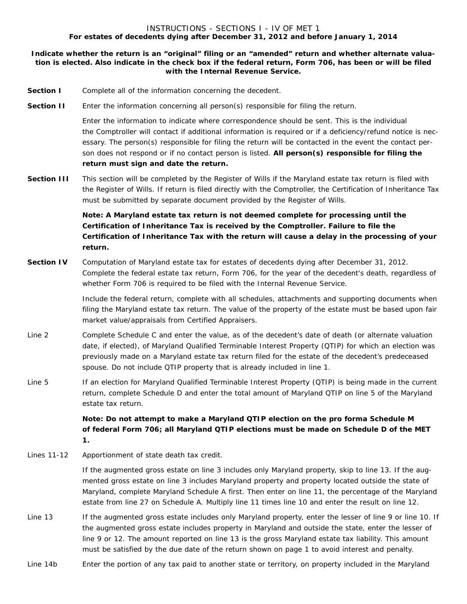#### INSTRUCTIONS - SECTIONS I - IV OF MET 1 **For estates of decedents dying after December 31, 2012 and before January 1, 2014**

#### **Indicate whether the return is an "original" filing or an "amended" return and whether alternate valuation is elected. Also indicate in the check box if the federal return, Form 706, has been or will be filed with the Internal Revenue Service.**

- **Section I** Complete *all* of the information concerning the decedent.
- **Section II** Enter the information concerning all person(s) responsible for filing the return.

 Enter the information to indicate where correspondence should be sent. This is the individual the Comptroller will contact if additional information is required or if a deficiency/refund notice is necessary. The person(s) responsible for filing the return will be contacted in the event the contact person does not respond or if no contact person is listed. **All person(s) responsible for filing the return must sign and date the return.**

**Section III** This section will be completed by the Register of Wills if the Maryland estate tax return is filed with the Register of Wills. If return is filed directly with the Comptroller, the Certification of Inheritance Tax must be submitted by separate document provided by the Register of Wills.

> **Note: A Maryland estate tax return is not deemed complete for processing until the Certification of Inheritance Tax is received by the Comptroller. Failure to file the Certification of Inheritance Tax with the return will cause a delay in the processing of your return.**

**Section IV** Computation of Maryland estate tax for estates of decedents dying after December 31, 2012. Complete the federal estate tax return, Form 706, for the year of the decedent's death, regardless of whether Form 706 is required to be filed with the Internal Revenue Service.

> Include the federal return, complete with all schedules, attachments and supporting documents when filing the Maryland estate tax return. The value of the property of the estate must be based upon fair market value/appraisals from Certified Appraisers.

- Line 2 Complete Schedule C and enter the value, as of the decedent's date of death (or alternate valuation date, if elected), of Maryland Qualified Terminable Interest Property (QTIP) for which an election was previously made on a Maryland estate tax return filed for the estate of the decedent's predeceased spouse. Do not include QTIP property that is already included in line 1.
- Line 5 If an election for Maryland Qualified Terminable Interest Property (QTIP) is being made in the current return, complete Schedule D and enter the total amount of Maryland QTIP on line 5 of the Maryland estate tax return.

 **Note: Do not attempt to make a Maryland QTIP election on the pro forma Schedule M of federal Form 706; all Maryland QTIP elections must be made on Schedule D of the MET 1.**

Lines 11-12 Apportionment of state death tax credit.

 If the augmented gross estate on line 3 includes only Maryland property, skip to line 13. If the augmented gross estate on line 3 includes Maryland property and property located outside the state of Maryland, complete Maryland Schedule A first. Then enter on line 11, the percentage of the Maryland estate from line 27 on Schedule A. Multiply line 11 times line 10 and enter the result on line 12.

- Line 13 If the augmented gross estate includes only Maryland property, enter the lesser of line 9 or line 10. If the augmented gross estate includes property in Maryland and outside the state, enter the lesser of line 9 or 12. The amount reported on line 13 is the gross Maryland estate tax liability. This amount must be satisfied by the due date of the return shown on page 1 to avoid interest and penalty.
- Line 14b Enter the portion of any tax paid to another state or territory, on property included in the Maryland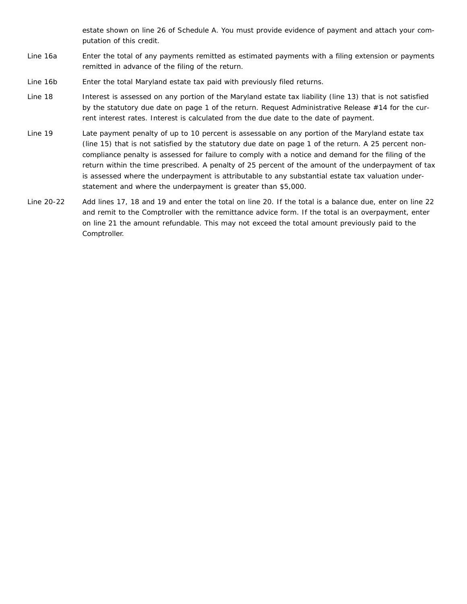estate shown on line 26 of Schedule A. You must provide evidence of payment and attach your computation of this credit.

- Line 16a Enter the total of any payments remitted as estimated payments with a filing extension or payments remitted in advance of the filing of the return.
- Line 16b Enter the total Maryland estate tax paid with previously filed returns.
- Line 18 Interest is assessed on any portion of the Maryland estate tax liability (line 13) that is not satisfied by the statutory due date on page 1 of the return. Request Administrative Release #14 for the current interest rates. Interest is calculated from the due date to the date of payment.
- Line 19 Late payment penalty of up to 10 percent is assessable on any portion of the Maryland estate tax (line 15) that is not satisfied by the statutory due date on page 1 of the return. A 25 percent noncompliance penalty is assessed for failure to comply with a notice and demand for the filing of the return within the time prescribed. A penalty of 25 percent of the amount of the underpayment of tax is assessed where the underpayment is attributable to any substantial estate tax valuation understatement and where the underpayment is greater than \$5,000.
- Line 20-22 Add lines 17, 18 and 19 and enter the total on line 20. If the total is a balance due, enter on line 22 and remit to the Comptroller with the remittance advice form. If the total is an overpayment, enter on line 21 the amount refundable. This may not exceed the total amount previously paid to the Comptroller.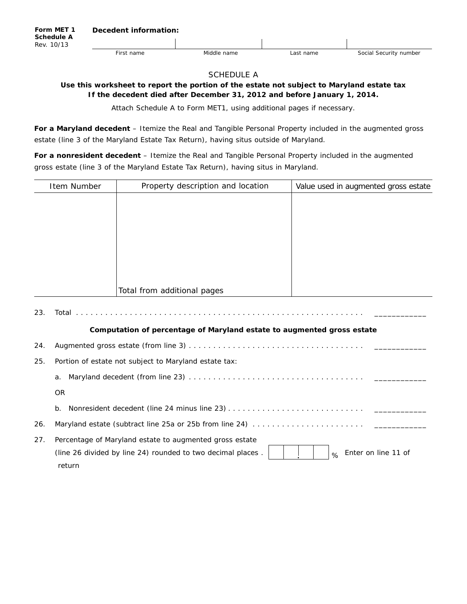#### SCHEDULE A

**Use this worksheet to report the portion of the estate not subject to Maryland estate tax If the decedent died after December 31, 2012 and before January 1, 2014.**

*Attach Schedule A to Form MET1, using additional pages if necessary.*

**For a Maryland decedent** *–* Itemize the Real and Tangible Personal Property included in the augmented gross estate (line 3 of the Maryland Estate Tax Return), having situs outside of Maryland.

**For a nonresident decedent** *–* Itemize the Real and Tangible Personal Property included in the augmented gross estate (line 3 of the Maryland Estate Tax Return), having situs in Maryland.

|     | Item Number | Property description and location                                      | Value used in augmented gross estate |
|-----|-------------|------------------------------------------------------------------------|--------------------------------------|
|     |             |                                                                        |                                      |
|     |             |                                                                        |                                      |
|     |             |                                                                        |                                      |
|     |             |                                                                        |                                      |
|     |             |                                                                        |                                      |
|     |             |                                                                        |                                      |
|     |             | Total from additional pages                                            |                                      |
| 23. |             |                                                                        |                                      |
|     |             | Computation of percentage of Maryland estate to augmented gross estate |                                      |
| 24. |             |                                                                        |                                      |
| 25. |             | Portion of estate not subject to Maryland estate tax:                  |                                      |
|     | a.          |                                                                        |                                      |
|     | <b>OR</b>   |                                                                        |                                      |
|     | b.          |                                                                        |                                      |
| 26. |             |                                                                        |                                      |

| 27. Percentage of Maryland estate to augmented gross estate                                                                              |  |  |  |
|------------------------------------------------------------------------------------------------------------------------------------------|--|--|--|
| (line 26 divided by line 24) rounded to two decimal places $\begin{array}{c c c}   &   &   &   \ \hline \end{array}$ Enter on line 11 of |  |  |  |
| return                                                                                                                                   |  |  |  |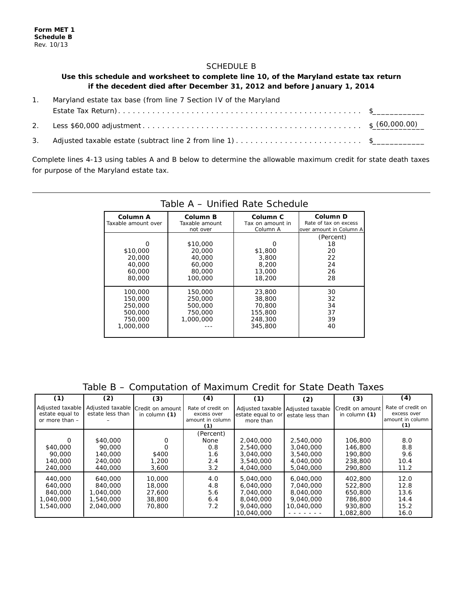#### SCHEDULE B

#### **Use this schedule and worksheet to complete line 10, of the Maryland estate tax return if the decedent died after December 31, 2012 and before January 1, 2014**

- 1. Maryland estate tax base (from line 7 Section IV of the Maryland Estate Tax Return) . \$\_\_\_\_\_\_\_\_\_\_\_\_
- 2. Less \$60,000 adjustment . \$\_\_\_\_\_\_\_\_\_\_\_\_ (60,000.00)
- 3. Adjusted taxable estate (subtract line 2 from line 1) . \$\_\_\_\_\_\_\_\_\_\_\_\_

Complete lines 4-13 using tables A and B below to determine the allowable maximum credit for state death taxes for purpose of the Maryland estate tax.

| Column A<br>Taxable amount over                                  | Column B<br>Taxable amount<br>not over                      | Column <sub>C</sub><br>Tax on amount in<br>Column A         | Column D<br>Rate of tax on excess<br>over amount in Column A |  |  |  |
|------------------------------------------------------------------|-------------------------------------------------------------|-------------------------------------------------------------|--------------------------------------------------------------|--|--|--|
| \$10,000<br>20,000<br>40,000<br>60,000<br>80,000                 | \$10,000<br>20,000<br>40,000<br>60,000<br>80,000<br>100,000 | \$1,800<br>3,800<br>8,200<br>13,000<br>18,200               | (Percent)<br>18<br>20<br>22<br>24<br>26<br>28                |  |  |  |
| 100,000<br>150,000<br>250,000<br>500,000<br>750,000<br>1,000,000 | 150,000<br>250,000<br>500,000<br>750,000<br>1,000,000       | 23,800<br>38,800<br>70,800<br>155,800<br>248,300<br>345,800 | 30<br>32<br>34<br>37<br>39<br>40                             |  |  |  |

#### Table A – Unified Rate Schedule

#### Table B – Computation of Maximum Credit for State Death Taxes

| (1)                                                     | (2)                                                       | (3)                                            | (4)                                                         | (1)                                                                         | (2)                                                            | (3)                                                              | (4)                                                         |
|---------------------------------------------------------|-----------------------------------------------------------|------------------------------------------------|-------------------------------------------------------------|-----------------------------------------------------------------------------|----------------------------------------------------------------|------------------------------------------------------------------|-------------------------------------------------------------|
| Adjusted taxable<br>estate equal to<br>or more than $-$ | Adjusted taxable<br>estate less than                      | Credit on amount<br>in column $(1)$            | Rate of credit on<br>excess over<br>amount in column<br>(1) | Adjusted taxable<br>estate equal to or<br>more than                         | Adjusted taxable<br>estate less than                           | Credit on amount<br>in column $(1)$                              | Rate of credit on<br>excess over<br>amount in column<br>(1) |
| $\Omega$<br>\$40,000<br>90,000<br>140,000<br>240,000    | \$40,000<br>90,000<br>140,000<br>240,000<br>440,000       | \$400<br>1,200<br>3,600                        | (Percent)<br><b>None</b><br>0.8<br>1.6<br>2.4<br>3.2        | 2,040,000<br>2,540,000<br>3,040,000<br>3,540,000<br>4,040,000               | 2,540,000<br>3,040,000<br>3,540,000<br>4,040,000<br>5,040,000  | 106,800<br>146,800<br>190,800<br>238,800<br>290,800              | 8.0<br>8.8<br>9.6<br>10.4<br>11.2                           |
| 440,000<br>640,000<br>840,000<br>1,040,000<br>1,540,000 | 640,000<br>840,000<br>1,040,000<br>1,540,000<br>2,040,000 | 10,000<br>18,000<br>27,600<br>38,800<br>70,800 | 4.0<br>4.8<br>5.6<br>6.4<br>7.2                             | 5,040,000<br>6,040,000<br>7.040.000<br>8,040,000<br>9,040,000<br>10,040,000 | 6,040,000<br>7.040.000<br>8,040,000<br>9,040,000<br>10,040,000 | 402,800<br>522,800<br>650,800<br>786,800<br>930,800<br>1,082,800 | 12.0<br>12.8<br>13.6<br>14.4<br>15.2<br>16.0                |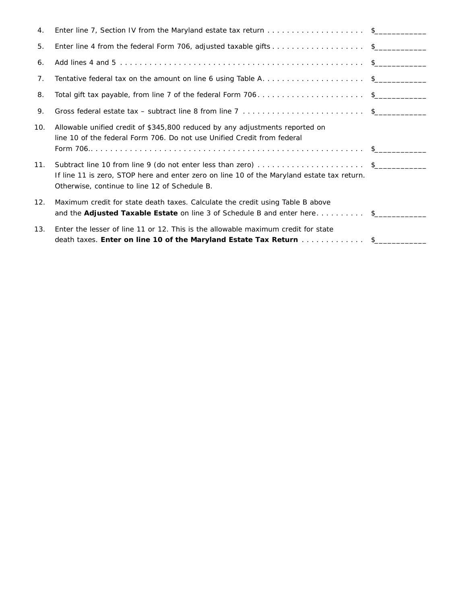| 4.  | Enter line 7, Section IV from the Maryland estate tax return \$                                                                                                                                              |  |
|-----|--------------------------------------------------------------------------------------------------------------------------------------------------------------------------------------------------------------|--|
| 5.  | Enter line 4 from the federal Form 706, adjusted taxable gifts \$                                                                                                                                            |  |
| 6.  |                                                                                                                                                                                                              |  |
| 7.  | Tentative federal tax on the amount on line 6 using Table A. \$                                                                                                                                              |  |
| 8.  | Total gift tax payable, from line 7 of the federal Form 706\$                                                                                                                                                |  |
| 9.  |                                                                                                                                                                                                              |  |
| 10. | Allowable unified credit of \$345,800 reduced by any adjustments reported on<br>line 10 of the federal Form 706. Do not use Unified Credit from federal                                                      |  |
| 11. | Subtract line 10 from line 9 (do not enter less than zero) \$<br>If line 11 is zero, STOP here and enter zero on line 10 of the Maryland estate tax return.<br>Otherwise, continue to line 12 of Schedule B. |  |
| 12. | Maximum credit for state death taxes. Calculate the credit using Table B above<br>and the Adjusted Taxable Estate on line 3 of Schedule B and enter here \$                                                  |  |
| 13. | Enter the lesser of line 11 or 12. This is the allowable maximum credit for state<br>death taxes. Enter on line 10 of the Maryland Estate Tax Return \$                                                      |  |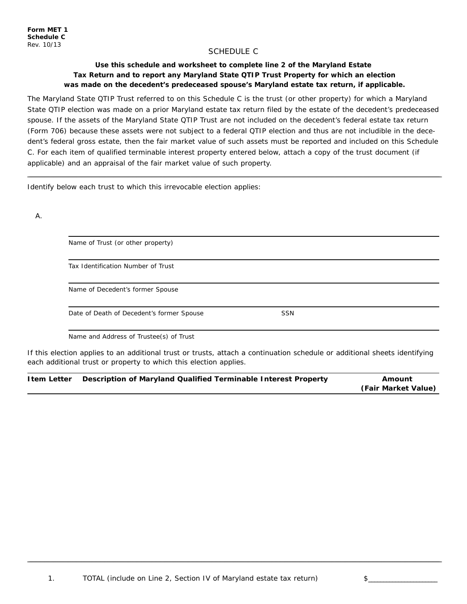#### SCHEDULE C

#### **Use this schedule and worksheet to complete line 2 of the Maryland Estate Tax Return and to report any Maryland State QTIP Trust Property for which an election was made on the decedent's predeceased spouse's Maryland estate tax return, if applicable.**

The Maryland State QTIP Trust referred to on this Schedule C is the trust (or other property) for which a Maryland State QTIP election was made on a prior Maryland estate tax return filed by the estate of the decedent's predeceased spouse. If the assets of the Maryland State QTIP Trust are not included on the decedent's federal estate tax return (Form 706) because these assets were not subject to a federal QTIP election and thus are not includible in the decedent's federal gross estate, then the fair market value of such assets must be reported and included on this Schedule C. For each item of qualified terminable interest property entered below, attach a copy of the trust document (if applicable) and an appraisal of the fair market value of such property.

<u> 1989 - Andrea Santa Andrea Andrea Andrea Andrea Andrea Andrea Andrea Andrea Andrea Andrea Andrea Andrea Andr</u>

Identify below each trust to which this irrevocable election applies:

A.

| Tax Identification Number of Trust        |            |  |
|-------------------------------------------|------------|--|
| Name of Decedent's former Spouse          |            |  |
| Date of Death of Decedent's former Spouse | <b>SSN</b> |  |

If this election applies to an additional trust or trusts, attach a continuation schedule or additional sheets identifying each additional trust or property to which this election applies.

| <b>Item Letter</b> | Description of Maryland Qualified Terminable Interest Property | Amount              |
|--------------------|----------------------------------------------------------------|---------------------|
|                    |                                                                | (Fair Market Value) |

<u> 1989 - Andrea Santa Andrea Andrea Andrea Andrea Andrea Andrea Andrea Andrea Andrea Andrea Andrea Andrea Andr</u>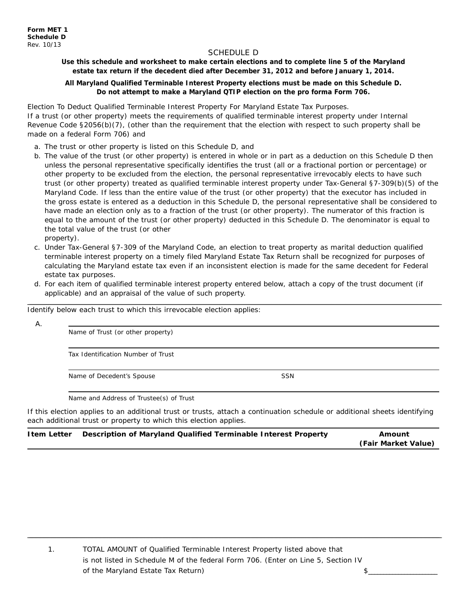#### SCHEDULE D

**Use this schedule and worksheet to make certain elections and to complete line 5 of the Maryland estate tax return if the decedent died after December 31, 2012 and before January 1, 2014.**

#### **All Maryland Qualified Terminable Interest Property elections must be made on this Schedule D. Do not attempt to make a Maryland QTIP election on the pro forma Form 706.**

Election To Deduct Qualified Terminable Interest Property For Maryland Estate Tax Purposes. If a trust (or other property) meets the requirements of qualified terminable interest property under Internal Revenue Code §2056(b)(7), (other than the requirement that the election with respect to such property shall be made on a federal Form 706) and

- a. The trust or other property is listed on this Schedule D, and
- b. The value of the trust (or other property) is entered in whole or in part as a deduction on this Schedule D then unless the personal representative specifically identifies the trust (all or a fractional portion or percentage) or other property to be excluded from the election, the personal representative irrevocably elects to have such trust (or other property) treated as qualified terminable interest property under Tax-General §7-309(b)(5) of the Maryland Code. If less than the entire value of the trust (or other property) that the executor has included in the gross estate is entered as a deduction in this Schedule D, the personal representative shall be considered to have made an election only as to a fraction of the trust (or other property). The numerator of this fraction is equal to the amount of the trust (or other property) deducted in this Schedule D. The denominator is equal to the total value of the trust (or other

property).

- c. Under Tax-General §7-309 of the Maryland Code, an election to treat property as marital deduction qualified terminable interest property on a timely filed Maryland Estate Tax Return shall be recognized for purposes of calculating the Maryland estate tax even if an inconsistent election is made for the same decedent for Federal estate tax purposes.
- d. For each item of qualified terminable interest property entered below, attach a copy of the trust document (if applicable) and an appraisal of the value of such property.

<u> 1989 - Andrea Santa Andrea Andrea Andrea Andrea Andrea Andrea Andrea Andrea Andrea Andrea Andrea Andrea Andr</u>

Identify below each trust to which this irrevocable election applies:

A.

Name of Trust (or other property)

Tax Identification Number of Trust

Name of Decedent's Spouse SSN

Name and Address of Trustee(s) of Trust

If this election applies to an additional trust or trusts, attach a continuation schedule or additional sheets identifying each additional trust or property to which this election applies.

| Item Letter  Description of Maryland Qualified Terminable Interest Property | Amount              |
|-----------------------------------------------------------------------------|---------------------|
|                                                                             | (Fair Market Value) |
|                                                                             |                     |

,我们也不能在这里的时候,我们也不能在这里的时候,我们也不能在这里的时候,我们也不能会在这里的时候,我们也不能会在这里的时候,我们也不能会在这里的时候,我们也不

1. TOTAL AMOUNT of Qualified Terminable Interest Property listed above that is not listed in Schedule M of the federal Form 706. (Enter on Line 5, Section IV of the Maryland Estate Tax Return)  $\qquad \qquad$  5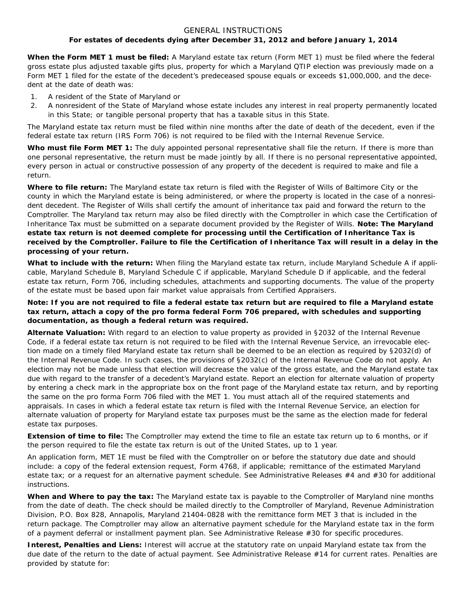#### GENERAL INSTRUCTIONS **For estates of decedents dying after December 31, 2012 and before January 1, 2014**

**When the Form MET 1 must be filed:** A Maryland estate tax return (Form MET 1) must be filed where the federal gross estate plus adjusted taxable gifts plus, property for which a Maryland QTIP election was previously made on a Form MET 1 filed for the estate of the decedent's predeceased spouse equals or exceeds \$1,000,000, and the decedent at the date of death was:

- 1. A resident of the State of Maryland or
- 2. A nonresident of the State of Maryland whose estate includes any interest in real property permanently located in this State; or tangible personal property that has a taxable situs in this State.

The Maryland estate tax return must be filed within nine months after the date of death of the decedent, even if the federal estate tax return (IRS Form 706) is not required to be filed with the Internal Revenue Service.

**Who must file Form MET 1:** The duly appointed personal representative shall file the return. If there is more than one personal representative, the return must be made jointly by all. If there is no personal representative appointed, every person in actual or constructive possession of any property of the decedent is required to make and file a return.

**Where to file return:** The Maryland estate tax return is filed with the Register of Wills of Baltimore City or the county in which the Maryland estate is being administered, or where the property is located in the case of a nonresident decedent. The Register of Wills shall certify the amount of inheritance tax paid and forward the return to the Comptroller. The Maryland tax return may also be filed directly with the Comptroller in which case the Certification of Inheritance Tax must be submitted on a separate document provided by the Register of Wills. **Note: The Maryland estate tax return is not deemed complete for processing until the Certification of Inheritance Tax is received by the Comptroller. Failure to file the Certification of Inheritance Tax will result in a delay in the processing of your return.**

**What to include with the return:** When filing the Maryland estate tax return, include Maryland Schedule A if applicable, Maryland Schedule B, Maryland Schedule C if applicable, Maryland Schedule D if applicable, and the federal estate tax return, Form 706, including schedules, attachments and supporting documents. The value of the property of the estate must be based upon fair market value appraisals from Certified Appraisers.

#### **Note: If you are not required to file a federal estate tax return but are required to file a Maryland estate tax return, attach a copy of the pro forma federal Form 706 prepared, with schedules and supporting documentation, as though a federal return was required.**

**Alternate Valuation:** With regard to an election to value property as provided in §2032 of the Internal Revenue Code, if a federal estate tax return is not required to be filed with the Internal Revenue Service, an irrevocable election made on a timely filed Maryland estate tax return shall be deemed to be an election as required by §2032(d) of the Internal Revenue Code. In such cases, the provisions of §2032(c) of the Internal Revenue Code do not apply. An election may not be made unless that election will decrease the value of the gross estate, and the Maryland estate tax due with regard to the transfer of a decedent's Maryland estate. Report an election for alternate valuation of property by entering a check mark in the appropriate box on the front page of the Maryland estate tax return, and by reporting the same on the pro forma Form 706 filed with the MET 1. You must attach all of the required statements and appraisals. In cases in which a federal estate tax return is filed with the Internal Revenue Service, an election for alternate valuation of property for Maryland estate tax purposes must be the same as the election made for federal estate tax purposes.

**Extension of time to file:** The Comptroller may extend the time to file an estate tax return up to 6 months, or if the person required to file the estate tax return is out of the United States, up to 1 year.

An application form, MET 1E must be filed with the Comptroller on or before the statutory due date and should include: a copy of the federal extension request, Form 4768, if applicable; remittance of the estimated Maryland estate tax; or a request for an alternative payment schedule. See Administrative Releases #4 and #30 for additional instructions.

**When and Where to pay the tax:** The Maryland estate tax is payable to the Comptroller of Maryland nine months from the date of death. The check should be mailed directly to the Comptroller of Maryland, Revenue Administration Division, P.O. Box 828, Annapolis, Maryland 21404-0828 with the remittance form MET 3 that is included in the return package. The Comptroller may allow an alternative payment schedule for the Maryland estate tax in the form of a payment deferral or installment payment plan. See Administrative Release #30 for specific procedures.

**Interest, Penalties and Liens:** Interest will accrue at the statutory rate on unpaid Maryland estate tax from the due date of the return to the date of actual payment. See Administrative Release #14 for current rates. Penalties are provided by statute for: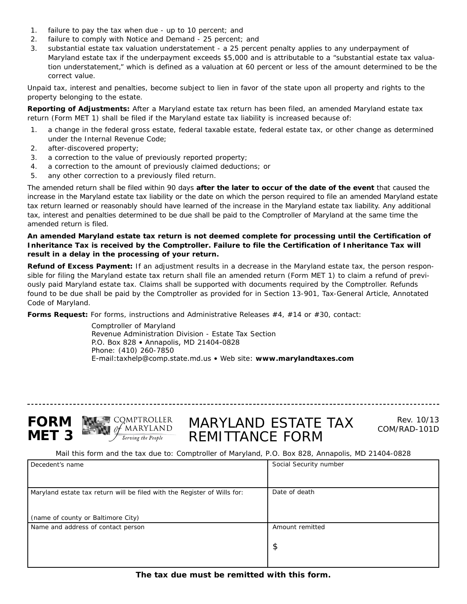- 1. failure to pay the tax when due up to 10 percent; and
- 2. failure to comply with Notice and Demand 25 percent; and
- 3. substantial estate tax valuation understatement a 25 percent penalty applies to any underpayment of Maryland estate tax if the underpayment exceeds \$5,000 and is attributable to a "substantial estate tax valuation understatement," which is defined as a valuation at 60 percent or less of the amount determined to be the correct value.

Unpaid tax, interest and penalties, become subject to lien in favor of the state upon all property and rights to the property belonging to the estate.

**Reporting of Adjustments:** After a Maryland estate tax return has been filed, an amended Maryland estate tax return (Form MET 1) shall be filed if the Maryland estate tax liability is increased because of:

- 1. a change in the federal gross estate, federal taxable estate, federal estate tax, or other change as determined under the Internal Revenue Code;
- 2. after-discovered property;
- 3. a correction to the value of previously reported property;
- 4. a correction to the amount of previously claimed deductions; or
- 5. any other correction to a previously filed return.

The amended return shall be filed within 90 days **after the later to occur of the date of the event** that caused the increase in the Maryland estate tax liability or the date on which the person required to file an amended Maryland estate tax return learned or reasonably should have learned of the increase in the Maryland estate tax liability. Any additional tax, interest and penalties determined to be due shall be paid to the Comptroller of Maryland at the same time the amended return is filed.

#### **An amended Maryland estate tax return is not deemed complete for processing until the Certification of Inheritance Tax is received by the Comptroller. Failure to file the Certification of Inheritance Tax will result in a delay in the processing of your return.**

**Refund of Excess Payment:** If an adjustment results in a decrease in the Maryland estate tax, the person responsible for filing the Maryland estate tax return shall file an amended return (Form MET 1) to claim a refund of previously paid Maryland estate tax. Claims shall be supported with documents required by the Comptroller. Refunds found to be due shall be paid by the Comptroller as provided for in Section 13-901, Tax-General Article, Annotated Code of Maryland.

**Forms Request:** For forms, instructions and Administrative Releases #4, #14 or #30, contact:

Comptroller of Maryland Revenue Administration Division - Estate Tax Section P.O. Box 828 • Annapolis, MD 21404-0828 Phone: (410) 260-7850 E-mail:taxhelp@comp.state.md.us • Web site: **www.marylandtaxes.com**

--------------------------------





### MARYLAND ESTATE TAX REMITTANCE FORM

Rev. 10/13 COM/RAD-101D

*Mail this form and the tax due to: Comptroller of Maryland, P.O. Box 828, Annapolis, MD 21404-0828*

| Decedent's name                                                          | Social Security number |
|--------------------------------------------------------------------------|------------------------|
|                                                                          |                        |
|                                                                          |                        |
| Maryland estate tax return will be filed with the Register of Wills for: | Date of death          |
|                                                                          |                        |
|                                                                          |                        |
| (name of county or Baltimore City)                                       |                        |
| Name and address of contact person                                       | Amount remitted        |
|                                                                          |                        |
|                                                                          | \$                     |
|                                                                          |                        |
|                                                                          |                        |